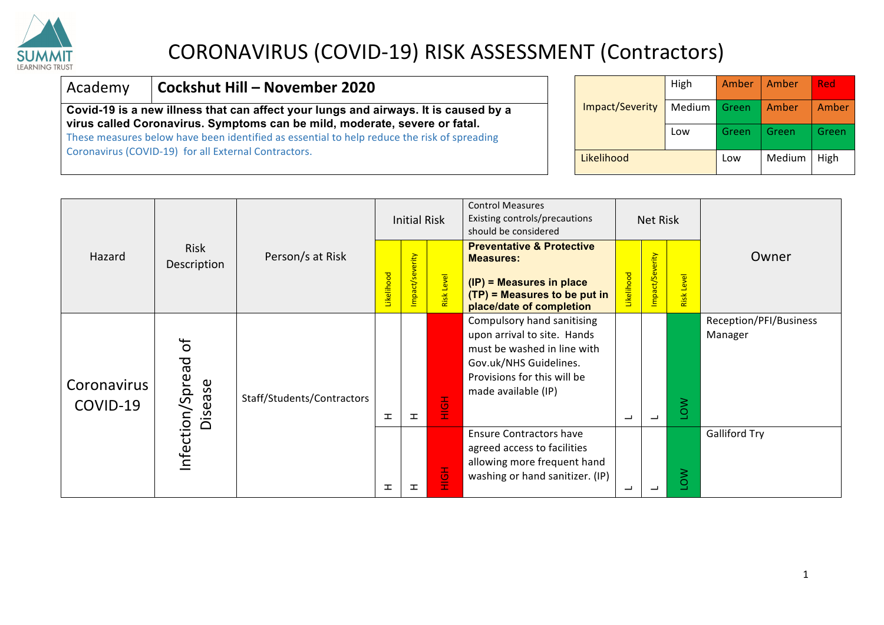

#### Academy **Cockshut Hill – November 2020**

**Covid-19 is a new illness that can affect your lungs and airways. It is caused by a virus called Coronavirus. Symptoms can be mild, moderate, severe or fatal.**

These measures below have been identified as essential to help reduce the risk of spreading Coronavirus (COVID-19) for all External Contractors.

|                 | High   | Amber | Amber  | Red   |
|-----------------|--------|-------|--------|-------|
| Impact/Severity | Medium | Green | Amber  | Amber |
|                 | Low    | Green | Green  | Green |
| Likelihood      |        | Low   | Medium | High  |

|                         |                         |                            |            | <b>Initial Risk</b> |            | <b>Control Measures</b><br>Existing controls/precautions<br>should be considered                                                                                         | Net Risk   |                |            |                                   |
|-------------------------|-------------------------|----------------------------|------------|---------------------|------------|--------------------------------------------------------------------------------------------------------------------------------------------------------------------------|------------|----------------|------------|-----------------------------------|
| Hazard                  | Risk<br>Description     | Person/s at Risk           | Likelihood | mpact/severity      | Risk Level | <b>Preventative &amp; Protective</b><br><b>Measures:</b><br>(IP) = Measures in place<br>$(TP)$ = Measures to be put in<br>place/date of completion                       | Likelihood | mpact/Severity | Risk Level | Owner                             |
| Coronavirus<br>COVID-19 | ð<br>/Spread<br>Disease | Staff/Students/Contractors | 工          | ᆂ                   | <u>공</u>   | Compulsory hand sanitising<br>upon arrival to site. Hands<br>must be washed in line with<br>Gov.uk/NHS Guidelines.<br>Provisions for this will be<br>made available (IP) | ┙          | ٮ              | NOT        | Reception/PFI/Business<br>Manager |
|                         | Infection,              |                            | ᆂ          | ᆂ                   | HộH        | <b>Ensure Contractors have</b><br>agreed access to facilities<br>allowing more frequent hand<br>washing or hand sanitizer. (IP)                                          |            | ᆜ              | NO1        | <b>Galliford Try</b>              |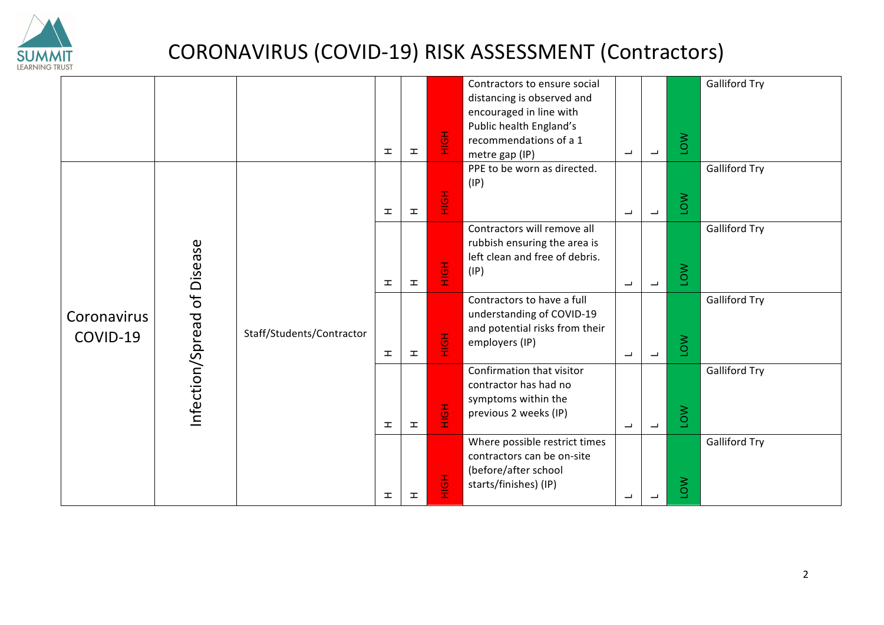

|             |                  |                           |              |                 |               | Contractors to ensure social                                   |                          |                          |            | <b>Galliford Try</b> |
|-------------|------------------|---------------------------|--------------|-----------------|---------------|----------------------------------------------------------------|--------------------------|--------------------------|------------|----------------------|
|             |                  |                           |              |                 |               | distancing is observed and                                     |                          |                          |            |                      |
|             |                  |                           |              |                 |               | encouraged in line with                                        |                          |                          |            |                      |
|             |                  |                           |              |                 |               | Public health England's                                        |                          |                          |            |                      |
|             |                  |                           | 工            | $\mathbf T$     | $rac{1}{2}$   | recommendations of a 1                                         | $\overline{\phantom{a}}$ | $\overline{\phantom{a}}$ | <b>NO1</b> |                      |
|             |                  |                           |              |                 |               | metre gap (IP)<br>PPE to be worn as directed.                  |                          |                          |            | <b>Galliford Try</b> |
|             |                  |                           |              |                 |               | (IP)                                                           |                          |                          |            |                      |
|             |                  |                           |              |                 |               |                                                                |                          |                          |            |                      |
|             |                  |                           | 工            | $\mathbf T$     | 품             |                                                                | $\overline{\phantom{a}}$ | $\overline{\phantom{0}}$ | NO1        |                      |
|             |                  |                           |              |                 |               | Contractors will remove all                                    |                          |                          |            |                      |
|             |                  |                           |              |                 |               |                                                                |                          |                          |            | <b>Galliford Try</b> |
|             |                  |                           |              |                 |               | rubbish ensuring the area is<br>left clean and free of debris. |                          |                          |            |                      |
|             |                  |                           |              |                 |               | (IP)                                                           |                          |                          |            |                      |
|             |                  |                           | 工            | 工               | $rac{1}{2}$   |                                                                | $\overline{\phantom{a}}$ | $\overline{\phantom{a}}$ | <b>NO1</b> |                      |
|             | of Disease       |                           |              |                 |               | Contractors to have a full                                     |                          |                          |            | <b>Galliford Try</b> |
| Coronavirus |                  |                           |              |                 |               | understanding of COVID-19                                      |                          |                          |            |                      |
|             |                  |                           |              |                 |               | and potential risks from their                                 |                          |                          |            |                      |
| COVID-19    |                  | Staff/Students/Contractor |              |                 | $\frac{1}{2}$ | employers (IP)                                                 |                          |                          | MOT        |                      |
|             |                  |                           | 工            | $\mathbf T$     |               |                                                                | $\overline{\phantom{a}}$ | $\overline{\phantom{a}}$ |            |                      |
|             | Infection/Spread |                           |              |                 |               | Confirmation that visitor                                      |                          |                          |            | <b>Galliford Try</b> |
|             |                  |                           |              |                 |               | contractor has had no                                          |                          |                          |            |                      |
|             |                  |                           |              |                 |               | symptoms within the                                            |                          |                          |            |                      |
|             |                  |                           |              |                 | $\frac{1}{2}$ | previous 2 weeks (IP)                                          |                          |                          | <b>NO1</b> |                      |
|             |                  |                           | $\mathbf{I}$ | $\mathbbmss{E}$ |               |                                                                | $\overline{\phantom{a}}$ | $\overline{\phantom{a}}$ |            |                      |
|             |                  |                           |              |                 |               | Where possible restrict times                                  |                          |                          |            | <b>Galliford Try</b> |
|             |                  |                           |              |                 |               | contractors can be on-site                                     |                          |                          |            |                      |
|             |                  |                           |              |                 |               | (before/after school                                           |                          |                          |            |                      |
|             |                  |                           |              |                 | 좋             | starts/finishes) (IP)                                          |                          |                          | NO1        |                      |
|             |                  |                           | ᆂ            | H               |               |                                                                | ب                        | ┙                        |            |                      |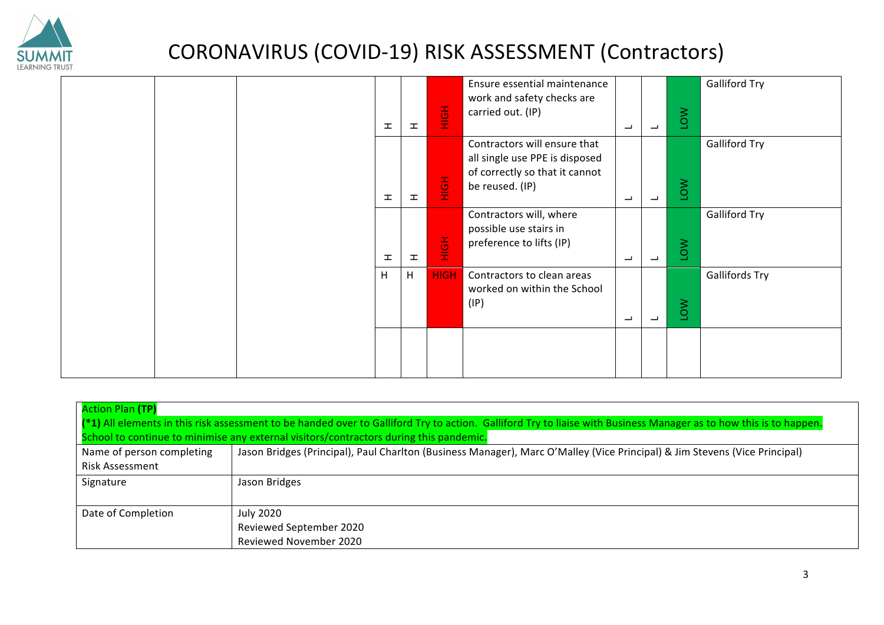

|  |  | 工            | $\mathbf T$ | $\frac{1}{2}$ | Ensure essential maintenance<br>work and safety checks are<br>carried out. (IP)                                     | الب                      | $\overline{\phantom{0}}$ | <b>NOT</b> | <b>Galliford Try</b>  |
|--|--|--------------|-------------|---------------|---------------------------------------------------------------------------------------------------------------------|--------------------------|--------------------------|------------|-----------------------|
|  |  | $\mathbf{I}$ | 工           | $\frac{1}{2}$ | Contractors will ensure that<br>all single use PPE is disposed<br>of correctly so that it cannot<br>be reused. (IP) | ب                        | $\overline{\phantom{a}}$ | <b>NOT</b> | <b>Galliford Try</b>  |
|  |  | <b>I</b>     | 工           | $rac{1}{2}$   | Contractors will, where<br>possible use stairs in<br>preference to lifts (IP)                                       | ب                        | $\overline{\phantom{a}}$ | <b>NOT</b> | <b>Galliford Try</b>  |
|  |  | H            | H           | <b>HIGH</b>   | Contractors to clean areas<br>worked on within the School<br>(IP)                                                   | $\overline{\phantom{0}}$ | $\overline{\phantom{a}}$ | <b>NOT</b> | <b>Gallifords Try</b> |
|  |  |              |             |               |                                                                                                                     |                          |                          |            |                       |

| <b>Action Plan (TP)</b><br>(*1) All elements in this risk assessment to be handed over to Galliford Try to action. Galliford Try to liaise with Business Manager as to how this is to happen.<br>School to continue to minimise any external visitors/contractors during this pandemic. |                                                                                                                            |  |  |  |  |  |  |  |  |  |
|-----------------------------------------------------------------------------------------------------------------------------------------------------------------------------------------------------------------------------------------------------------------------------------------|----------------------------------------------------------------------------------------------------------------------------|--|--|--|--|--|--|--|--|--|
| Name of person completing<br><b>Risk Assessment</b>                                                                                                                                                                                                                                     | Jason Bridges (Principal), Paul Charlton (Business Manager), Marc O'Malley (Vice Principal) & Jim Stevens (Vice Principal) |  |  |  |  |  |  |  |  |  |
| Signature                                                                                                                                                                                                                                                                               | Jason Bridges                                                                                                              |  |  |  |  |  |  |  |  |  |
| Date of Completion                                                                                                                                                                                                                                                                      | <b>July 2020</b><br>Reviewed September 2020<br><b>Reviewed November 2020</b>                                               |  |  |  |  |  |  |  |  |  |